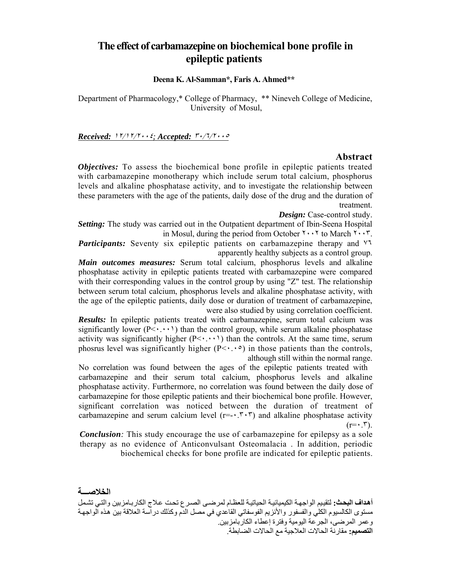# **The effect of carbamazepine on biochemical bone profile in epileptic patients**

**Deena K. Al-Samman\*, Faris A. Ahmed\*\***

Department of Pharmacology,\* College of Pharmacy, \*\* Nineveh College of Medicine, University of Mosul,

*Received:* <sup>١٢</sup>/١٢/<sup>٢٠٠٤</sup>*; Accepted:* <sup>٣٠</sup>/٦/<sup>٢٠٠٥</sup>

#### **Abstract**

*Objectives:* To assess the biochemical bone profile in epileptic patients treated with carbamazepine monotherapy which include serum total calcium, phosphorus levels and alkaline phosphatase activity, and to investigate the relationship between these parameters with the age of the patients, daily dose of the drug and the duration of treatment.

*Design:* Case-control study.

*Setting:* The study was carried out in the Outpatient department of Ibin-Seena Hospital in Mosul, during the period from October  $\mathbf{Y} \cdot \mathbf{Y}$  to March  $\mathbf{Y} \cdot \mathbf{Y}$ .

*Participants:* Seventy six epileptic patients on carbamazepine therapy and ٧٦ apparently healthy subjects as a control group.

*Main outcomes measures:* Serum total calcium, phosphorus levels and alkaline phosphatase activity in epileptic patients treated with carbamazepine were compared with their corresponding values in the control group by using "Z" test. The relationship between serum total calcium, phosphorus levels and alkaline phosphatase activity, with the age of the epileptic patients, daily dose or duration of treatment of carbamazepine, were also studied by using correlation coefficient.

*Results:* In epileptic patients treated with carbamazepine, serum total calcium was significantly lower  $(P \leq \cdot \cdot \cdot)$  than the control group, while serum alkaline phosphatase activity was significantly higher  $(P \leq \cdots)$  than the controls. At the same time, serum phosrus level was significantly higher  $(P<\cdot \cdot \cdot)$  in those patients than the controls, although still within the normal range.

No correlation was found between the ages of the epileptic patients treated with carbamazepine and their serum total calcium, phosphorus levels and alkaline phosphatase activity. Furthermore, no correlation was found between the daily dose of carbamazepine for those epileptic patients and their biochemical bone profile. However, significant correlation was noticed between the duration of treatment of carbamazepine and serum calcium level  $(r = \cdot, r \cdot r)$  and alkaline phosphatase activity  $(r=•.5)$ .

*Conclusion:* This study encourage the use of carbamazepine for epilepsy as a sole therapy as no evidence of Anticonvulsant Osteomalacia . In addition, periodic biochemical checks for bone profile are indicated for epileptic patients.

**الخلاصـــة**

**أهداف البحث:** لتقييم الواجهة الكيميائية الحياتية للعظام لمرضىي الصرع تحت علاج الكاربـامزبين والتي تشمل مستوى الكالسيوم الكلي والفسفور والأنزيم الفوسفاتي القاعدي في مصل الدم وكذلك دراسة العلاقة بين هذه الواجهة وعمر المرضى، الجرعة اليومية وفترة إعطاء الكاربامزبين. **التصميم:** مقارنة الحالات العلاجية مع الحالات الضابطة.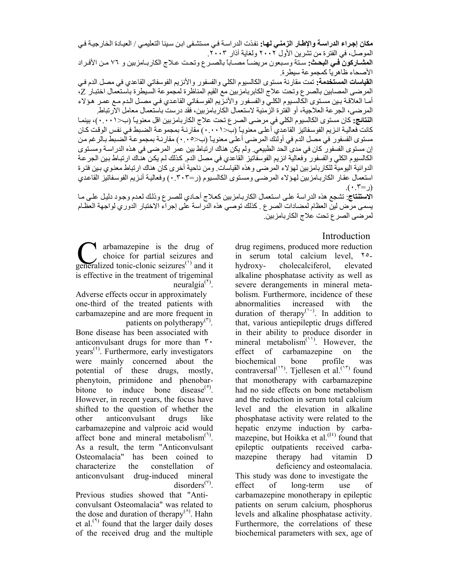ه**كان إجراء الدراسـة والإطـار ال<b>زمنـى ل**هـا: نفذت الدراسـة فـى مستشـفى ابـن سينا التعليمـي / العيـادة الخارجيـة فـي الموصل، في الفترة من تشرين الأول ٢٠٠٢ ولغاية آذار .٢٠٠٣

**المشـاركون ًفـي البحث:** سنة وسبعون مريضـاً مصـاباً بالصـر ع وتحت عـلاج الكاربـامزبين و ٧٦ مـن الأفـراد الأصحاء ظاهرياً كمجموعة سيطرة.

**القياسات المستخدمة:** تمت مقارنة مستوى الكالسيوم الكلي والفسفور والأنزيم الفوسفاتي القاعدي في مصل الدم فѧي المرضى المصابين بالصرع وتحت علاج الكابربامزبين مع القيم المناظرة لمجموعة السѧيطرة باسѧتعمال اختبѧار Z، أما العلاقة بين مستوى الكالسيوم الكلي والفسفور والأنزيم الفوسفاتي القاعدي في مصل الدم مـع عمـر هؤلاء المرضى، الجرعة العلاجية، أو الفترة الزمنية لاستعمال الكاربامزبين، فقد درست باستعمال معامل الارتباط.

ا**لنتائج:** كان مستوى الكالسيوم الكلي في مرضى الصرع تحت علاج الكاربامزبين اقل معنويـًا (ب<٠.٠١)، بينمـا كانت فعاليـة انـزيم الفوسفاتيز القاعدي أعلـي معنويـاً (ب<۰.۰۱) مقارنـة بمجموعـة الضبط فـي نفس الوقت كـان مستوى الفسفور في مصل الدم في أولئك المرضى أعلى معنويـاً (ب<٠.٠٥) مقارنـة بمجموعـة الضـبط بـالرغم من إن مستوى الفسفور كان في مدى الحد الطبيعي. ولم يكن هناك ارتباط بين عمر المرضى في هذه الدراسة ومستوى الكالسيوم الكلي والفسفور وفعالية انزيم الفوسفاتيز القاعدي في مصل الدم. كذلك لم يكن هناك ارتباط بين الجرعة الدوائية اليومية للكاربامزبين لهؤلاء المرضى وهذه القياسات. ومن ناحية أخرى كان هناك ارتباط معنوي بين فترة استعمال عقار الكاربـامزبين لهوْلاء المرضـى ومستوى الكالسبوم (ر=٠.٣٠٣) وفعاليـة أنـزيم الفوسفاتيز القاعدي (ر=٠.٣).

الاستنتاج: تشجع هذه الدراسة على استعمال الكاربامزبين كعلاج أحادي للصرع وذلك لعدم وجود دليل على ما يسمى مرض لين العظام لمضادات الصرع . كذلك توصي هذه الدراسة على إجراء الاختبار الدوري لواجهة العظام لمرضى الصرع تحت علاج الكاربامزبين.

### Introduction

arbamazepine is the drug of choice for partial seizures and generalized tonic-clonic seizures<sup>(1)</sup> and it is effective in the treatment of trigeminal  $neuralgia<sup>(1)</sup>$ .

Adverse effects occur in approximately one-third of the treated patients with carbamazepine and are more frequent in patients on polytherapy<sup>(٣)</sup>.

Bone disease has been associated with anticonvulsant drugs for more than ٣٠  $years<sup>(*i*)</sup>$ . Furthermore, early investigators were mainly concerned about the potential of these drugs, mostly, phenytoin, primidone and phenobarbitone to induce bone disease $^{(8)}$ . However, in recent years, the focus have shifted to the question of whether the other anticonvulsant drugs like carbamazepine and valproic acid would affect bone and mineral metabolism $(1)$ . As a result, the term "Anticonvulsant Osteomalacia" has been coined to characterize the constellation of anticonvulsant drug-induced mineral disorders<sup>(y)</sup>.

Previous studies showed that "Anticonvulsant Osteomalacia" was related to the dose and duration of therapy<sup> $(A)$ </sup>. Hahn et al.<sup> $(1)$ </sup> found that the larger daily doses of the received drug and the multiple

drug regimens, produced more reduction in serum total calcium level, ٢٥ hydroxy- cholecalciferol, elevated alkaline phosphatase activity as well as severe derangements in mineral metabolism. Furthermore, incidence of these abnormalities increased with the duration of therapy<sup> $(1)$ </sup>. In addition to that, various antiepileptic drugs differed in their ability to produce disorder in mineral metabolism<sup>('')</sup>. However, the effect of carbamazepine on the biochemical bone profile was contraversal<sup>(11)</sup>. Tjellesen et al.<sup>(11)</sup> found that monotherapy with carbamazepine had no side effects on bone metabolism and the reduction in serum total calcium level and the elevation in alkaline phosphatase activity were related to the hepatic enzyme induction by carbamazepine, but Hoikka et al. $^{(1)}$  found that epileptic outpatients received carbamazepine therapy had vitamin D deficiency and osteomalacia. This study was done to investigate the effect of long-term use of carbamazepine monotherapy in epileptic patients on serum calcium, phosphorus levels and alkaline phosphatase activity. Furthermore, the correlations of these

biochemical parameters with sex, age of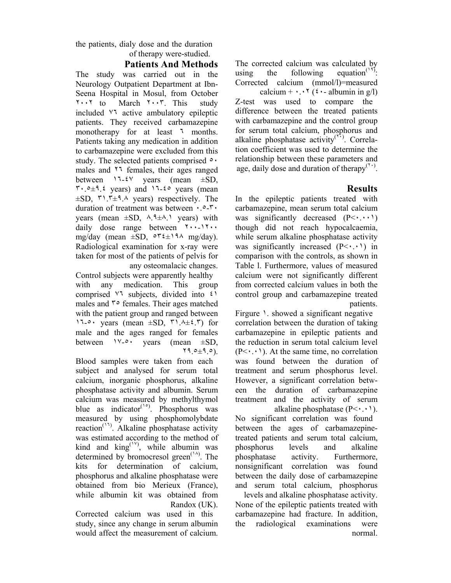the patients, dialy dose and the duration of therapy were-studied.

## **Patients And Methods**

The study was carried out in the Neurology Outpatient Department at Ibn-Seena Hospital in Mosul, from October ٢٠٠٢ to March ٢٠٠٣. This study included ٧٦ active ambulatory epileptic patients. They received carbamazepine monotherapy for at least <sup>1</sup> months. Patients taking any medication in addition to carbamazepine were excluded from this study. The selected patients comprised  $\circ \cdot$ males and ٢٦ females, their ages ranged between  $17-5$  years (mean  $\pm SD$ ,  $\mathbf{r} \cdot \mathbf{0} + \mathbf{1} \cdot \mathbf{2}$  years) and  $\mathbf{1} \cdot \mathbf{1} \cdot \mathbf{3}$  years (mean  $\pm SD$ ,  $\mu$ ,  $\pm 9$ .  $\mu$  years) respectively. The duration of treatment was between ٠.٥-٣٠ years (mean  $\pm SD$ ,  $\lambda$ ,  $9\pm\lambda$ , years) with daily dose range between ٢٠٠-١٢٠٠ mg/day (mean  $\pm SD$ ,  $\circ \tau \in \pm 19$  mg/day). Radiological examination for x-ray were taken for most of the patients of pelvis for any osteomalacic changes.

Control subjects were apparently healthy with any medication. This group comprised ٧٦ subjects, divided into ٤١ males and ٣٥ females. Their ages matched with the patient group and ranged between 11- $\circ$  years (mean  $\pm SD$ ,  $\uparrow$ 1.4 $\pm \circ$ , $\uparrow$ ) for male and the ages ranged for females between  $\forall x \in \mathcal{O}$  years (mean  $\pm SD$ , ٢٩.٥±٩.٥).

Blood samples were taken from each subject and analysed for serum total calcium, inorganic phosphorus, alkaline phosphatase activity and albumin. Serum calcium was measured by methylthymol blue as indicator<sup>(10</sup>). Phosphorus was measured by using phosphomolybdate reaction<sup>(11)</sup>. Alkaline phosphatase activity was estimated according to the method of kind and  $king^{(1)}$ , while albumin was determined by bromocresol green<sup>(14)</sup>. The kits for determination of calcium, phosphorus and alkaline phosphatase were obtained from bio Merieux (France), while albumin kit was obtained from Randox (UK).

Corrected calcium was used in this study, since any change in serum albumin would affect the measurement of calcium.

The corrected calcium was calculated by using the following equation<sup> $(14)$ </sup>. Corrected calcium (mmol/l)=measured calcium +  $\cdot \cdot \cdot$  (*i*  $\cdot$  - albumin in g/l)

Z-test was used to compare the difference between the treated patients with carbamazepine and the control group for serum total calcium, phosphorus and alkaline phosphatase activity<sup>(Ti)</sup>. Correlation coefficient was used to determine the relationship between these parameters and age, daily dose and duration of therapy<sup> $(1)$ </sup>.

## **Results**

In the epileptic patients treated with carbamazepine, mean serum total calcium was significantly decreased  $(P \leq \cdot \cdot \cdot)$ though did not reach hypocalcaemia, while serum alkaline phosphatase activity was significantly increased  $(P< \cdot, \cdot)$  in comparison with the controls, as shown in Table l. Furthermore, values of measured calcium were not significantly different from corrected calcium values in both the control group and carbamazepine treated patients.

Firgure 1. showed a significant negative correlation between the duration of taking carbamazepine in epileptic patients and the reduction in serum total calcium level  $(P<\cdot,\cdot)$ . At the same time, no correlation was found between the duration of treatment and serum phosphorus level. However, a significant correlation between the duration of carbamazepine treatment and the activity of serum alkaline phosphatase  $(P \leq \cdot \cdot \cdot)$ .

No significant correlation was found between the ages of carbamazepinetreated patients and serum total calcium, phosphorus levels and alkaline phosphatase activity. Furthermore, nonsignificant correlation was found between the daily dose of carbamazepine and serum total calcium, phosphorus levels and alkaline phosphatase activity. None of the epileptic patients treated with carbamazepine had fracture. In addition,

the radiological examinations were normal.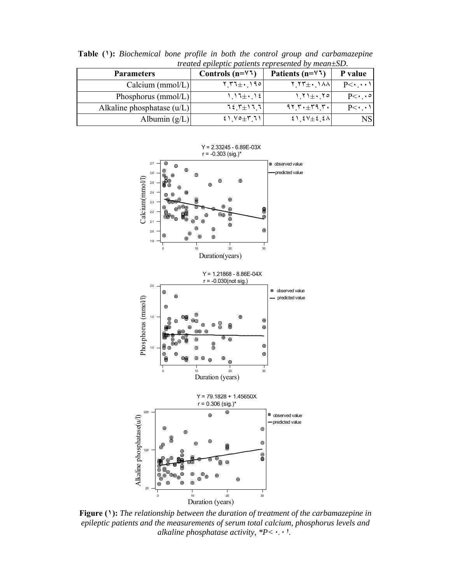| <i>treated epitepiic patients represented by mean</i> $\pm$ SD. |                    |                                                                                                           |                       |
|-----------------------------------------------------------------|--------------------|-----------------------------------------------------------------------------------------------------------|-----------------------|
| <b>Parameters</b>                                               | Controls $(n=4)$   | Patients ( $n = \sqrt{7}$ )                                                                               | P value               |
| Calcium ( $mmol/L$ )                                            | $Y_1Y_2 + 190$     | $Y_1 Y^+ + Y_2 Y_3$                                                                                       | $P<\cdot\cdot\cdot$   |
| Phosphorus ( $mmol/L$ )                                         | $117\pm 12$        | $ Y $ + $ Y $                                                                                             | $P<\cdot \cdot \circ$ |
| Alkaline phosphatase $(u/L)$                                    | $727 + 177$        | $917. + 179.7.$                                                                                           |                       |
| Albumin $(g/L)$                                                 | $21$ $10 + 7$ $11$ | $\mathcal{E} \setminus \mathcal{E} \setminus \pm \mathcal{E} \setminus \mathcal{E} \setminus \mathcal{E}$ | <b>NS</b>             |

**Table (١):** *Biochemical bone profile in both the control group and carbamazepine treated epileptic patients represented by mean±SD.*



**Figure (١):** *The relationship between the duration of treatment of the carbamazepine in epileptic patients and the measurements of serum total calcium, phosphorus levels and alkaline phosphatase activity, \*P<*<sup>٠</sup>.<sup>٠١</sup>.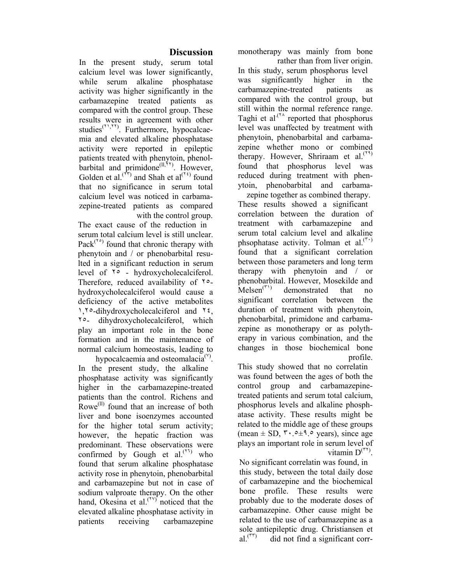## **Discussion**

In the present study, serum total calcium level was lower significantly, while serum alkaline phosphatase activity was higher significantly in the carbamazepine treated patients as compared with the control group. These results were in agreement with other studies<sup>(Y),YY</sup>). Furthermore, hypocalcaemia and elevated alkaline phosphatase activity were reported in epileptic patients treated with phenytoin, phenolbarbital and primidone $^{(II,\tilde{Y}^{\tau})}$ . However, Golden et al.<sup> $(1)$ </sup> and Shah et al<sup> $(1)$ </sup> found that no significance in serum total calcium level was noticed in carbamazepine-treated patients as compared with the control group.

The exact cause of the reduction in serum total calcium level is still unclear. Pack<sup> $(1^{\circ})$ </sup> found that chronic therapy with phenytoin and / or phenobarbital resulted in a significant reduction in serum level of ٢٥ - hydroxycholecalciferol. Therefore, reduced availability of ٢٥ hydroxycholecalciferol would cause a deficiency of the active metabolites ١,٢٥-dihydroxycholecalciferol and ٢٤, ٢٥- dihydroxycholecalciferol, which play an important role in the bone formation and in the maintenance of normal calcium homeostasis, leading to

hypocalcaemia and osteomalacia<sup>( $Y$ )</sup>. In the present study, the alkaline phosphatase activity was significantly higher in the carbamazepine-treated patients than the control. Richens and Rowe<sup>(II)</sup> found that an increase of both liver and bone isoenzymes accounted for the higher total serum activity; however, the hepatic fraction was predominant. These observations were confirmed by Gough et  $al.^{(7)}$  who found that serum alkaline phosphatase activity rose in phenytoin, phenobarbital and carbamazepine but not in case of sodium valproate therapy. On the other hand, Okesina et al.<sup> $(IV)$ </sup> noticed that the elevated alkaline phosphatase activity in patients receiving carbamazepine

monotherapy was mainly from bone rather than from liver origin.

In this study, serum phosphorus level was significantly higher in the carbamazepine-treated patients as compared with the control group, but still within the normal reference range. Taghi et al.<sup> $(7^{\lambda}$ </sup> reported that phosphorus level was unaffected by treatment with phenytoin, phenobarbital and carbamazepine whether mono or combined therapy. However, Shriraam et al.<sup> $(1, 1)$ </sup> found that phosphorus level was reduced during treatment with phenytoin, phenobarbital and carbamazepine together as combined therapy.

These results showed a significant correlation between the duration of treatment with carbamazepine and serum total calcium level and alkaline phsophatase activity. Tolman et al.<sup> $(5)$ </sup> found that a significant correlation between those parameters and long term therapy with phenytoin and / or phenobarbital. However, Mosekilde and  $Melsen<sup>(T1)</sup>$  demonstrated that no significant correlation between the duration of treatment with phenytoin, phenobarbital, primidone and carbamazepine as monotherapy or as polytherapy in various combination, and the changes in those biochemical bone profile.

This study showed that no correlatin was found between the ages of both the control group and carbamazepinetreated patients and serum total calcium, phosphorus levels and alkaline phosphatase activity. These results might be related to the middle age of these groups (mean  $\pm$  SD,  $\mu$ ,  $\circ$   $\pm$  9.  $\circ$  years), since age plays an important role in serum level of vitamin  $D^{(\tau\tau)}$ .

No significant correlatin was found, in this study, between the total daily dose of carbamazepine and the biochemical bone profile. These results were probably due to the moderate doses of carbamazepine. Other cause might be related to the use of carbamazepine as a sole antiepileptic drug. Christiansen et al.(٣٣) did not find a significant corr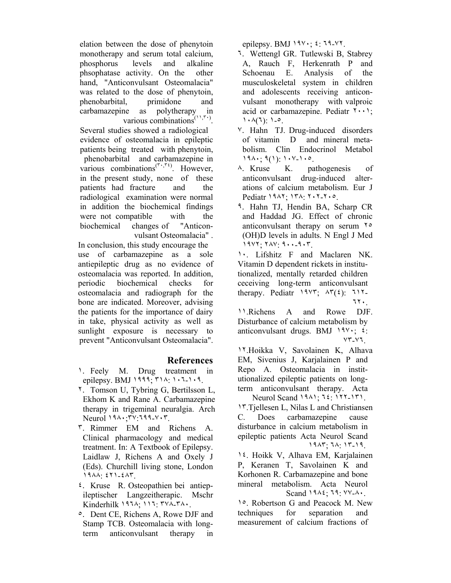elation between the dose of phenytoin monotherapy and serum total calcium, phosphorus levels and alkaline phsophatase activity. On the other hand, "Anticonvulsant Osteomalacia" was related to the dose of phenytoin, phenobarbital, primidone and carbamazepine as polytherapy in various combinations<sup>('',r'</sup>'). Several studies showed a radiological evidence of osteomalacia in epileptic patients being treated with phenytoin, phenobarbital and carbamazepine in various combinations<sup> $(\tau, \tau)$ </sup>. However, in the present study, none of these patients had fracture and the radiological examination were normal in addition the biochemical findings were not compatible with the biochemical changes of "Anticonvulsant Osteomalacia" .

In conclusion, this study encourage the use of carbamazepine as a sole antiepileptic drug as no evidence of osteomalacia was reported. In addition, periodic biochemical checks for osteomalacia and radiograph for the bone are indicated. Moreover, advising the patients for the importance of dairy in take, physical activity as well as sunlight exposure is necessary to prevent "Anticonvulsant Osteomalacia".

#### **References**

- ١. Feely M. Drug treatment in epilepsy. BMJ ١٩٩٩; ٣١٨: ١٠٦-١٠٩.
- ٢. Tomson U, Tybring G, Bertilsson L, Ekhom K and Rane A. Carbamazepine therapy in trigeminal neuralgia. Arch Neurol ١٩٨٠;٣٧:٦٩٩-٧٠٣.
- ٣. Rimmer EM and Richens A. Clinical pharmacology and medical treatment. In: A Textbook of Epilepsy. Laidlaw J, Richens A and Oxely J (Eds). Churchill living stone, London ١٩٨٨: ٤٢١-٤٨٣.
- ٤. Kruse R. Osteopathien bei antiepileptischer Langzeitherapic. Mschr Kinderhilk ١٩٦٨; ١١٦: ٣٧٨-٣٨٠.
- ٥. Dent CE, Richens A, Rowe DJF and Stamp TCB. Osteomalacia with longterm anticonvulsant therapy in

epilepsy. BMJ ١٩٧٠; ٤: ٦٩-٧٢.

- ٦. Wettengl GR. Tutlewski B, Stabrey A, Rauch F, Herkenrath P and Schoenau E. Analysis of the musculoskeletal system in children and adolescents receiving anticonvulsant monotherapy with valproic acid or carbamazepine. Pediatr  $\mathbf{Y} \cdot \mathbf{Y}$ ;  $1.4(1)$ :  $1.0$ .
- ٧. Hahn TJ. Drug-induced disorders of vitamin D and mineral metabolism. Clin Endocrinol Metabol ١٩٨٠; ٩(١): ١٠٧-١٠٥.
- ٨. Kruse K. pathogenesis of anticonvulsant drug-induced alterations of calcium metabolism. Eur J Pediatr ١٩٨٢; ١٣٨: ٢٠٢-٢٠٥.
- ٩. Hahn TJ, Hendin BA, Scharp CR and Haddad JG. Effect of chronic anticonvulsant therapy on serum ٢٥ (OH)D levels in adults. N Engl J Med ١٩٧٢; ٢٨٧: ٩٠٠-٩٠٣.
- ١٠. Lifshitz F and Maclaren NK. Vitamin D dependent rickets in institutionalized, mentally retarded children ceceiving long-term anticonvulsant therapy. Pediatr  $19Y^2$ ;  $\Delta \mathcal{F}(2)$ :  $11Y$ . ٦٢٠.
- ١١.Richens A and Rowe DJF. Disturbance of calcium metabolism by anticonvulsant drugs. BMJ  $19\%$ ;  $\epsilon$ : ٧٣-٧٦.
- ١٢.Hoikka V, Savolainen K, Alhava EM, Sivenius J, Karjalainen P and Repo A. Osteomalacia in institutionalized epileptic patients on longterm anticonvulsant therapy. Acta Neurol Scand ١٩٨١; ٦٤: ١٢٢-١٣١.
- ١٣.Tjellesen L, Nilas L and Christiansen C. Does carbamazepine cause disturbance in calcium metabolism in epileptic patients Acta Neurol Scand ١٩٨٣; ٦٨: ١٣-١٩.
- ١٤. Hoikk V, Alhava EM, Karjalainen P, Keranen T, Savolainen K and Korhonen R. Carbamazepine and bone mineral metabolism. Acta Neurol Scand ١٩٨٤; ٦٩: ٧٧-٨٠.

١٥. Robertson G and Peacock M. New techniques for separation and measurement of calcium fractions of